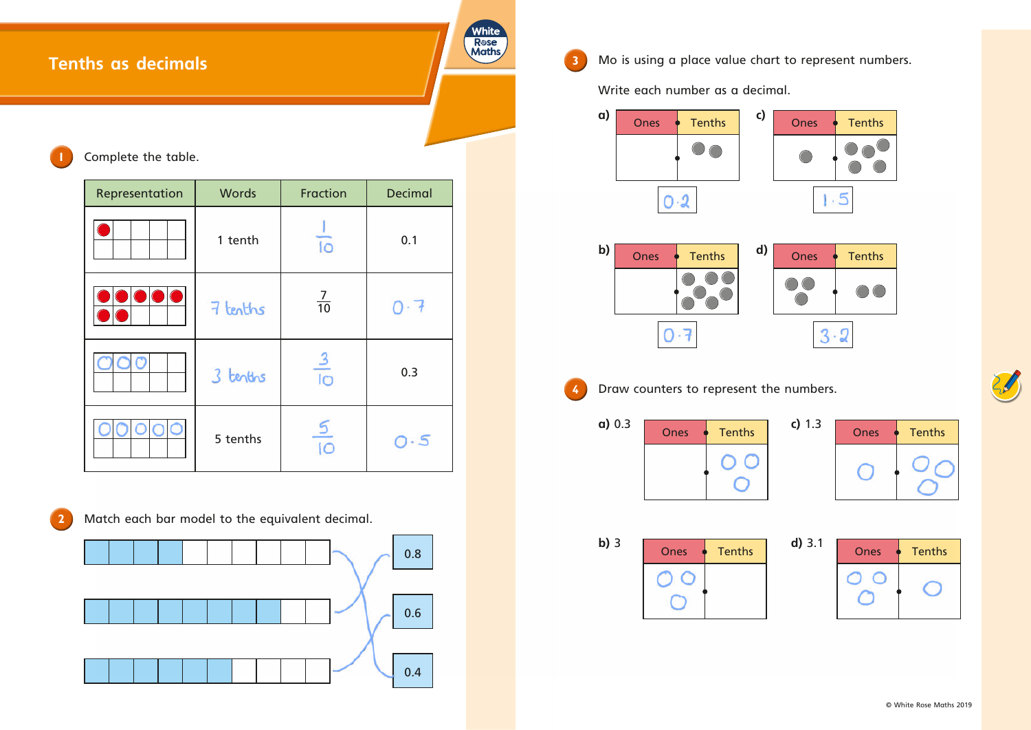# **Tenths as decimals**

## **1** Complete the table.

| Representation | <b>Words</b> | Fraction        | <b>Decimal</b>      |
|----------------|--------------|-----------------|---------------------|
|                | 1 tenth      | $\overline{10}$ | 0.1                 |
|                | 7 tenths     | $\frac{7}{10}$  | $\bigcap$ $\cdot$ 1 |
|                | 3 tenths     | $rac{3}{10}$    | 0.3                 |
| 30             | 5 tenths     |                 | $\cdot$ 5           |



**2** Match each bar model to the equivalent decimal.



**White** Rose<br>Maths

**3** Mo is using a place value chart to represent numbers.

Write each number as a decimal.

| $a)$ 0.3 | <b>Ones</b> | <b>Tenths</b> | c) 1.3 | <b>Ones</b> | Tenths |
|----------|-------------|---------------|--------|-------------|--------|
|          |             |               |        |             |        |

| Ones | <b>Tenths</b> |
|------|---------------|
|      |               |

**b)** 3 **D** Ones • Tenths **d)** 3.1 **D** Ones • Tenths O 0  $\overline{O}$ 







**4** Draw counters to represent the numbers.